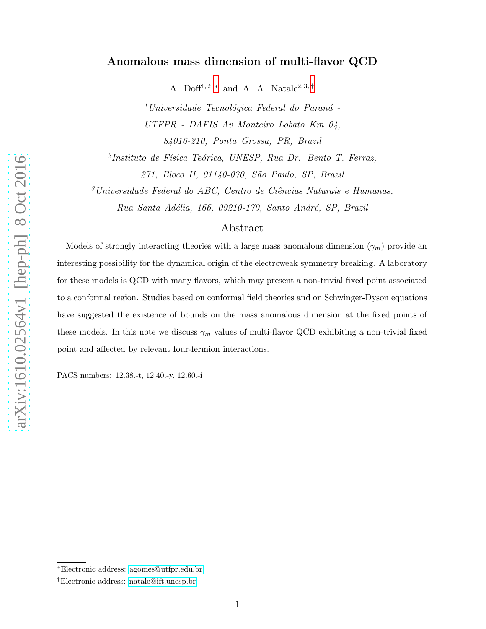## Anomalous mass dimension of multi-flavor QCD

A. Doff<sup>1,2,\*</sup> and A. A. Natale<sup>2,3,[†](#page-0-1)</sup>

 $1$ Universidade Tecnológica Federal do Paraná -UTFPR - DAFIS Av Monteiro Lobato Km 04, 84016-210, Ponta Grossa, PR, Brazil

<sup>2</sup>Instituto de Física Teórica, UNESP, Rua Dr. Bento T. Ferraz, 271, Bloco II, 01140-070, São Paulo, SP, Brazil

 $3$ Universidade Federal do ABC, Centro de Ciências Naturais e Humanas, Rua Santa Adélia, 166, 09210-170, Santo André, SP, Brazil

## Abstract

Models of strongly interacting theories with a large mass anomalous dimension  $(\gamma_m)$  provide an interesting possibility for the dynamical origin of the electroweak symmetry breaking. A laboratory for these models is QCD with many flavors, which may present a non-trivial fixed point associated to a conformal region. Studies based on conformal field theories and on Schwinger-Dyson equations have suggested the existence of bounds on the mass anomalous dimension at the fixed points of these models. In this note we discuss  $\gamma_m$  values of multi-flavor QCD exhibiting a non-trivial fixed point and affected by relevant four-fermion interactions.

PACS numbers: 12.38.-t, 12.40.-y, 12.60.-i

<span id="page-0-1"></span><span id="page-0-0"></span><sup>∗</sup>Electronic address: [agomes@utfpr.edu.br](mailto:agomes@utfpr.edu.br)

<sup>†</sup>Electronic address: [natale@ift.unesp.br](mailto:natale@ift.unesp.br)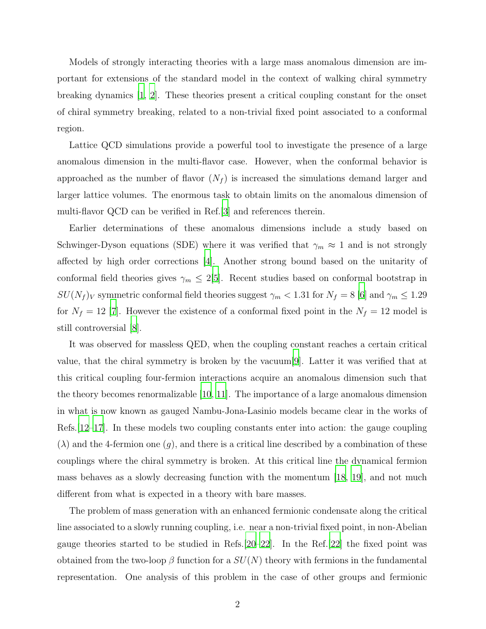Models of strongly interacting theories with a large mass anomalous dimension are important for extensions of the standard model in the context of walking chiral symmetry breaking dynamics [\[1,](#page-9-0) [2](#page-9-1)]. These theories present a critical coupling constant for the onset of chiral symmetry breaking, related to a non-trivial fixed point associated to a conformal region.

Lattice QCD simulations provide a powerful tool to investigate the presence of a large anomalous dimension in the multi-flavor case. However, when the conformal behavior is approached as the number of flavor  $(N_f)$  is increased the simulations demand larger and larger lattice volumes. The enormous task to obtain limits on the anomalous dimension of multi-flavor QCD can be verified in Ref.[\[3](#page-9-2)] and references therein.

Earlier determinations of these anomalous dimensions include a study based on Schwinger-Dyson equations (SDE) where it was verified that  $\gamma_m \approx 1$  and is not strongly affected by high order corrections [\[4\]](#page-9-3). Another strong bound based on the unitarity of conformal field theories gives  $\gamma_m \leq 2[5]$  $\gamma_m \leq 2[5]$ . Recent studies based on conformal bootstrap in  $SU(N_f)_V$  symmetric conformal field theories suggest  $\gamma_m < 1.31$  for  $N_f = 8$  [\[6](#page-9-5)] and  $\gamma_m \leq 1.29$ for  $N_f = 12$  [\[7](#page-9-6)]. However the existence of a conformal fixed point in the  $N_f = 12$  model is still controversial [\[8](#page-9-7)].

It was observed for massless QED, when the coupling constant reaches a certain critical value, that the chiral symmetry is broken by the vacuum[\[9](#page-9-8)]. Latter it was verified that at this critical coupling four-fermion interactions acquire an anomalous dimension such that the theory becomes renormalizable [\[10](#page-9-9), [11\]](#page-9-10). The importance of a large anomalous dimension in what is now known as gauged Nambu-Jona-Lasinio models became clear in the works of Refs.[\[12](#page-9-11)[–17\]](#page-9-12). In these models two coupling constants enter into action: the gauge coupling  $(\lambda)$  and the 4-fermion one  $(g)$ , and there is a critical line described by a combination of these couplings where the chiral symmetry is broken. At this critical line the dynamical fermion mass behaves as a slowly decreasing function with the momentum [\[18,](#page-9-13) [19](#page-9-14)], and not much different from what is expected in a theory with bare masses.

The problem of mass generation with an enhanced fermionic condensate along the critical line associated to a slowly running coupling, i.e. near a non-trivial fixed point, in non-Abelian gauge theories started to be studied in Refs.[\[20](#page-9-15)[–22](#page-9-16)]. In the Ref.[\[22\]](#page-9-16) the fixed point was obtained from the two-loop  $\beta$  function for a  $SU(N)$  theory with fermions in the fundamental representation. One analysis of this problem in the case of other groups and fermionic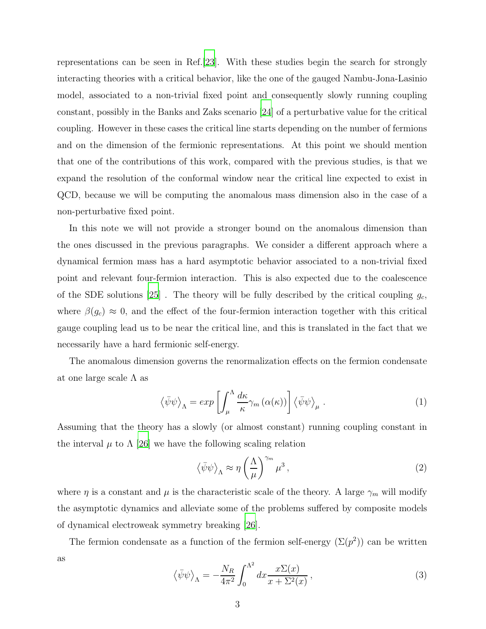representations can be seen in Ref.[\[23](#page-9-17)]. With these studies begin the search for strongly interacting theories with a critical behavior, like the one of the gauged Nambu-Jona-Lasinio model, associated to a non-trivial fixed point and consequently slowly running coupling constant, possibly in the Banks and Zaks scenario [\[24\]](#page-10-0) of a perturbative value for the critical coupling. However in these cases the critical line starts depending on the number of fermions and on the dimension of the fermionic representations. At this point we should mention that one of the contributions of this work, compared with the previous studies, is that we expand the resolution of the conformal window near the critical line expected to exist in QCD, because we will be computing the anomalous mass dimension also in the case of a non-perturbative fixed point.

In this note we will not provide a stronger bound on the anomalous dimension than the ones discussed in the previous paragraphs. We consider a different approach where a dynamical fermion mass has a hard asymptotic behavior associated to a non-trivial fixed point and relevant four-fermion interaction. This is also expected due to the coalescence of the SDE solutions  $|25|$ . The theory will be fully described by the critical coupling  $g_c$ , where  $\beta(g_c) \approx 0$ , and the effect of the four-fermion interaction together with this critical gauge coupling lead us to be near the critical line, and this is translated in the fact that we necessarily have a hard fermionic self-energy.

The anomalous dimension governs the renormalization effects on the fermion condensate at one large scale  $\Lambda$  as

$$
\langle \bar{\psi}\psi \rangle_{\Lambda} = \exp \left[ \int_{\mu}^{\Lambda} \frac{d\kappa}{\kappa} \gamma_m \left( \alpha(\kappa) \right) \right] \langle \bar{\psi}\psi \rangle_{\mu} . \tag{1}
$$

Assuming that the theory has a slowly (or almost constant) running coupling constant in the interval  $\mu$  to  $\Lambda$  [\[26\]](#page-10-2) we have the following scaling relation

$$
\langle \bar{\psi}\psi \rangle_{\Lambda} \approx \eta \left(\frac{\Lambda}{\mu}\right)^{\gamma_m} \mu^3 , \qquad (2)
$$

where  $\eta$  is a constant and  $\mu$  is the characteristic scale of the theory. A large  $\gamma_m$  will modify the asymptotic dynamics and alleviate some of the problems suffered by composite models of dynamical electroweak symmetry breaking [\[26\]](#page-10-2).

The fermion condensate as a function of the fermion self-energy  $(\Sigma(p^2))$  can be written as

<span id="page-2-0"></span>
$$
\langle \bar{\psi}\psi \rangle_{\Lambda} = -\frac{N_R}{4\pi^2} \int_0^{\Lambda^2} dx \frac{x \Sigma(x)}{x + \Sigma^2(x)}, \tag{3}
$$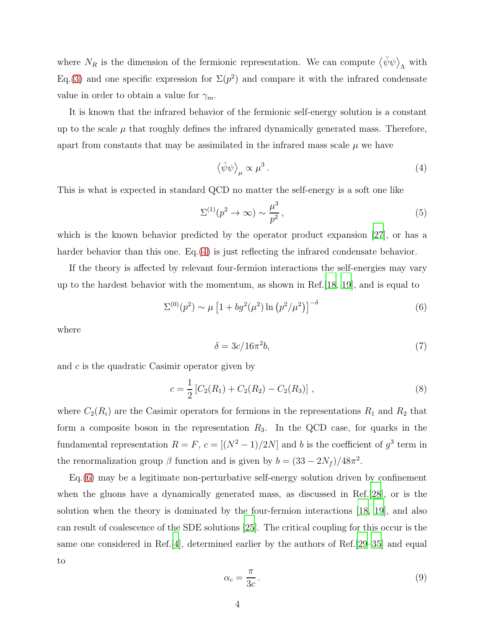where  $N_R$  is the dimension of the fermionic representation. We can compute  $\langle \bar{\psi} \psi \rangle$ <sub>A</sub> with Eq.[\(3\)](#page-2-0) and one specific expression for  $\Sigma(p^2)$  and compare it with the infrared condensate value in order to obtain a value for  $\gamma_m$ .

It is known that the infrared behavior of the fermionic self-energy solution is a constant up to the scale  $\mu$  that roughly defines the infrared dynamically generated mass. Therefore, apart from constants that may be assimilated in the infrared mass scale  $\mu$  we have

<span id="page-3-0"></span>
$$
\left\langle \bar{\psi}\psi\right\rangle_{\mu} \propto \mu^3 \,. \tag{4}
$$

This is what is expected in standard QCD no matter the self-energy is a soft one like

<span id="page-3-2"></span>
$$
\Sigma^{(1)}(p^2 \to \infty) \sim \frac{\mu^3}{p^2},\tag{5}
$$

which is the known behavior predicted by the operator product expansion [\[27](#page-10-3)], or has a harder behavior than this one. Eq.[\(4\)](#page-3-0) is just reflecting the infrared condensate behavior.

If the theory is affected by relevant four-fermion interactions the self-energies may vary up to the hardest behavior with the momentum, as shown in Ref.[\[18,](#page-9-13) [19](#page-9-14)], and is equal to

<span id="page-3-1"></span>
$$
\Sigma^{(0)}(p^2) \sim \mu \left[ 1 + b g^2(\mu^2) \ln \left( p^2/\mu^2 \right) \right]^{-\delta} \tag{6}
$$

where

$$
\delta = 3c/16\pi^2 b,\tag{7}
$$

and c is the quadratic Casimir operator given by

$$
c = \frac{1}{2} \left[ C_2(R_1) + C_2(R_2) - C_2(R_3) \right],
$$
\n(8)

where  $C_2(R_i)$  are the Casimir operators for fermions in the representations  $R_1$  and  $R_2$  that form a composite boson in the representation  $R_3$ . In the QCD case, for quarks in the fundamental representation  $R = F$ ,  $c = [(N^2 - 1)/2N]$  and b is the coefficient of  $g^3$  term in the renormalization group  $\beta$  function and is given by  $b = (33 - 2N_f)/48\pi^2$ .

Eq.[\(6\)](#page-3-1) may be a legitimate non-perturbative self-energy solution driven by confinement when the gluons have a dynamically generated mass, as discussed in Ref.[\[28](#page-10-4)], or is the solution when the theory is dominated by the four-fermion interactions [\[18,](#page-9-13) [19\]](#page-9-14), and also can result of coalescence of the SDE solutions [\[25\]](#page-10-1). The critical coupling for this occur is the same one considered in Ref.[\[4](#page-9-3)], determined earlier by the authors of Ref.[\[29](#page-10-5)[–35\]](#page-10-6) and equal to

$$
\alpha_c = \frac{\pi}{3c} \,. \tag{9}
$$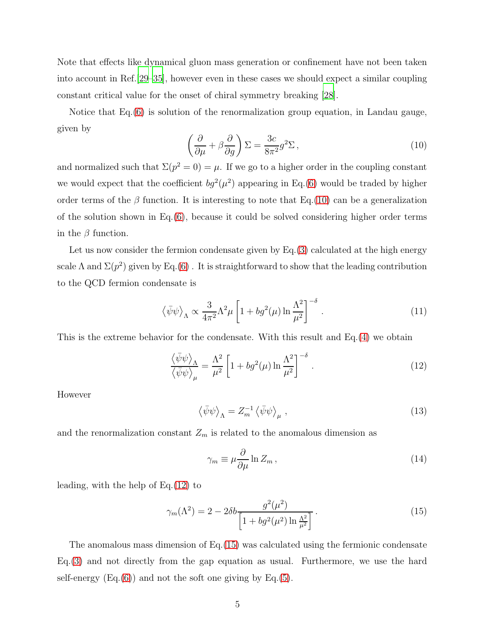Note that effects like dynamical gluon mass generation or confinement have not been taken into account in Ref.[\[29](#page-10-5)[–35\]](#page-10-6), however even in these cases we should expect a similar coupling constant critical value for the onset of chiral symmetry breaking [\[28](#page-10-4)].

Notice that Eq.[\(6\)](#page-3-1) is solution of the renormalization group equation, in Landau gauge, given by

<span id="page-4-0"></span>
$$
\left(\frac{\partial}{\partial \mu} + \beta \frac{\partial}{\partial g}\right) \Sigma = \frac{3c}{8\pi^2} g^2 \Sigma \,,\tag{10}
$$

and normalized such that  $\Sigma(p^2 = 0) = \mu$ . If we go to a higher order in the coupling constant we would expect that the coefficient  $bg^2(\mu^2)$  appearing in Eq.[\(6\)](#page-3-1) would be traded by higher order terms of the  $\beta$  function. It is interesting to note that Eq.[\(10\)](#page-4-0) can be a generalization of the solution shown in  $Eq.(6)$  $Eq.(6)$ , because it could be solved considering higher order terms in the  $\beta$  function.

Let us now consider the fermion condensate given by  $Eq.(3)$  $Eq.(3)$  calculated at the high energy scale  $\Lambda$  and  $\Sigma(p^2)$  given by Eq.[\(6\)](#page-3-1). It is straightforward to show that the leading contribution to the QCD fermion condensate is

$$
\left\langle \bar{\psi}\psi \right\rangle_{\Lambda} \propto \frac{3}{4\pi^2} \Lambda^2 \mu \left[ 1 + bg^2(\mu) \ln \frac{\Lambda^2}{\mu^2} \right]^{-\delta} . \tag{11}
$$

This is the extreme behavior for the condensate. With this result and Eq.[\(4\)](#page-3-0) we obtain

<span id="page-4-1"></span>
$$
\frac{\langle \bar{\psi}\psi \rangle_{\Lambda}}{\langle \bar{\psi}\psi \rangle_{\mu}} = \frac{\Lambda^2}{\mu^2} \left[ 1 + bg^2(\mu) \ln \frac{\Lambda^2}{\mu^2} \right]^{-\delta} . \tag{12}
$$

However

$$
\langle \bar{\psi}\psi \rangle_{\Lambda} = Z_m^{-1} \langle \bar{\psi}\psi \rangle_{\mu} , \qquad (13)
$$

and the renormalization constant  $Z_m$  is related to the anomalous dimension as

$$
\gamma_m \equiv \mu \frac{\partial}{\partial \mu} \ln Z_m \,, \tag{14}
$$

leading, with the help of Eq.[\(12\)](#page-4-1) to

<span id="page-4-2"></span>
$$
\gamma_m(\Lambda^2) = 2 - 2\delta b \frac{g^2(\mu^2)}{\left[1 + bg^2(\mu^2) \ln \frac{\Lambda^2}{\mu^2}\right]}.
$$
\n(15)

The anomalous mass dimension of Eq.[\(15\)](#page-4-2) was calculated using the fermionic condensate Eq.[\(3\)](#page-2-0) and not directly from the gap equation as usual. Furthermore, we use the hard self-energy  $(Eq.6)$  and not the soft one giving by Eq. [\(5\)](#page-3-2).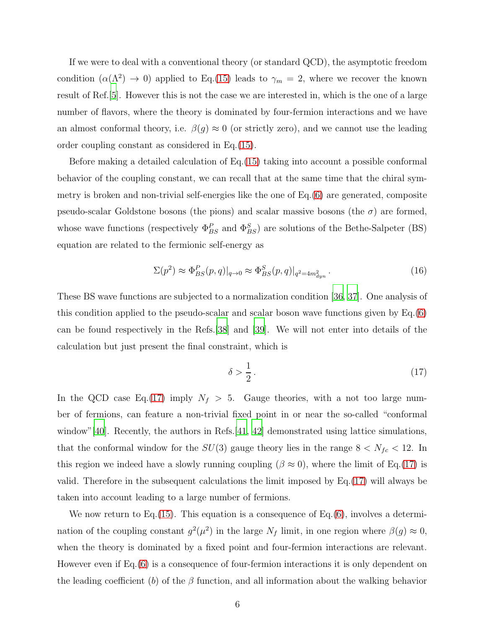If we were to deal with a conventional theory (or standard QCD), the asymptotic freedom condition  $(\alpha(\Lambda^2) \to 0)$  applied to Eq.[\(15\)](#page-4-2) leads to  $\gamma_m = 2$ , where we recover the known result of Ref.[\[5\]](#page-9-4). However this is not the case we are interested in, which is the one of a large number of flavors, where the theory is dominated by four-fermion interactions and we have an almost conformal theory, i.e.  $\beta(g) \approx 0$  (or strictly zero), and we cannot use the leading order coupling constant as considered in Eq.[\(15\)](#page-4-2).

Before making a detailed calculation of Eq.[\(15\)](#page-4-2) taking into account a possible conformal behavior of the coupling constant, we can recall that at the same time that the chiral symmetry is broken and non-trivial self-energies like the one of Eq.[\(6\)](#page-3-1) are generated, composite pseudo-scalar Goldstone bosons (the pions) and scalar massive bosons (the  $\sigma$ ) are formed, whose wave functions (respectively  $\Phi_{BS}^P$  and  $\Phi_{BS}^S$ ) are solutions of the Bethe-Salpeter (BS) equation are related to the fermionic self-energy as

$$
\Sigma(p^2) \approx \Phi_{BS}^P(p,q)|_{q \to 0} \approx \Phi_{BS}^S(p,q)|_{q^2 = 4m_{dyn}^2} \,. \tag{16}
$$

These BS wave functions are subjected to a normalization condition [\[36](#page-10-7), [37](#page-10-8)]. One analysis of this condition applied to the pseudo-scalar and scalar boson wave functions given by Eq.[\(6\)](#page-3-1) can be found respectively in the Refs.[\[38](#page-10-9)] and [\[39](#page-10-10)]. We will not enter into details of the calculation but just present the final constraint, which is

<span id="page-5-0"></span>
$$
\delta > \frac{1}{2} \,. \tag{17}
$$

In the QCD case Eq.[\(17\)](#page-5-0) imply  $N_f > 5$ . Gauge theories, with a not too large number of fermions, can feature a non-trivial fixed point in or near the so-called "conformal window"[\[40](#page-10-11)]. Recently, the authors in Refs.[\[41,](#page-10-12) [42\]](#page-10-13) demonstrated using lattice simulations, that the conformal window for the  $SU(3)$  gauge theory lies in the range  $8 < N_{fc} < 12$ . In this region we indeed have a slowly running coupling ( $\beta \approx 0$ ), where the limit of Eq.[\(17\)](#page-5-0) is valid. Therefore in the subsequent calculations the limit imposed by Eq.[\(17\)](#page-5-0) will always be taken into account leading to a large number of fermions.

We now return to Eq.[\(15\)](#page-4-2). This equation is a consequence of Eq.[\(6\)](#page-3-1), involves a determination of the coupling constant  $g^2(\mu^2)$  in the large  $N_f$  limit, in one region where  $\beta(g) \approx 0$ , when the theory is dominated by a fixed point and four-fermion interactions are relevant. However even if Eq.[\(6\)](#page-3-1) is a consequence of four-fermion interactions it is only dependent on the leading coefficient (b) of the  $\beta$  function, and all information about the walking behavior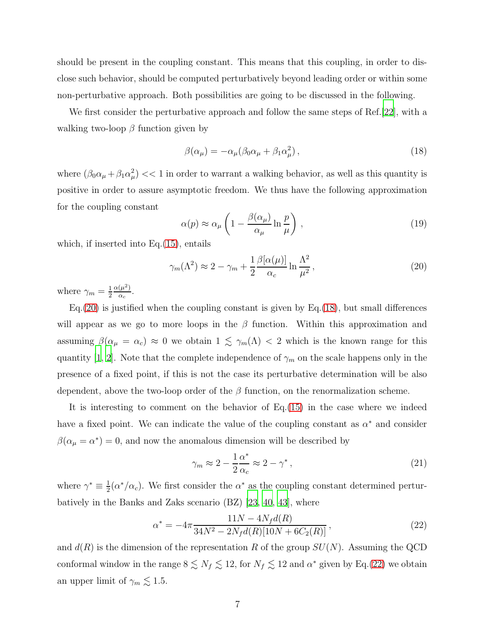should be present in the coupling constant. This means that this coupling, in order to disclose such behavior, should be computed perturbatively beyond leading order or within some non-perturbative approach. Both possibilities are going to be discussed in the following.

We first consider the perturbative approach and follow the same steps of Ref.[\[22\]](#page-9-16), with a walking two-loop  $\beta$  function given by

<span id="page-6-1"></span>
$$
\beta(\alpha_{\mu}) = -\alpha_{\mu}(\beta_0 \alpha_{\mu} + \beta_1 \alpha_{\mu}^2), \qquad (18)
$$

where  $(\beta_0 \alpha_\mu + \beta_1 \alpha_\mu^2)$  < 1 in order to warrant a walking behavior, as well as this quantity is positive in order to assure asymptotic freedom. We thus have the following approximation for the coupling constant

$$
\alpha(p) \approx \alpha_{\mu} \left( 1 - \frac{\beta(\alpha_{\mu})}{\alpha_{\mu}} \ln \frac{p}{\mu} \right) , \qquad (19)
$$

which, if inserted into  $Eq.(15)$  $Eq.(15)$ , entails

<span id="page-6-0"></span>
$$
\gamma_m(\Lambda^2) \approx 2 - \gamma_m + \frac{1}{2} \frac{\beta[\alpha(\mu)]}{\alpha_c} \ln \frac{\Lambda^2}{\mu^2},\tag{20}
$$

where  $\gamma_m = \frac{1}{2}$ 2  $\alpha(\mu^2)$  $\frac{(\mu^2)}{\alpha_c}$ .

 $Eq.(20)$  $Eq.(20)$  is justified when the coupling constant is given by  $Eq.(18)$  $Eq.(18)$ , but small differences will appear as we go to more loops in the  $\beta$  function. Within this approximation and assuming  $\beta(\alpha_{\mu} = \alpha_c) \approx 0$  we obtain  $1 \lesssim \gamma_m(\Lambda) < 2$  which is the known range for this quantity [\[1](#page-9-0), [2\]](#page-9-1). Note that the complete independence of  $\gamma_m$  on the scale happens only in the presence of a fixed point, if this is not the case its perturbative determination will be also dependent, above the two-loop order of the  $\beta$  function, on the renormalization scheme.

It is interesting to comment on the behavior of Eq.[\(15\)](#page-4-2) in the case where we indeed have a fixed point. We can indicate the value of the coupling constant as  $\alpha^*$  and consider  $\beta(\alpha_{\mu} = \alpha^*) = 0$ , and now the anomalous dimension will be described by

$$
\gamma_m \approx 2 - \frac{1}{2} \frac{\alpha^*}{\alpha_c} \approx 2 - \gamma^*,\tag{21}
$$

where  $\gamma^* \equiv \frac{1}{2}$  $\frac{1}{2}(\alpha^*/\alpha_c)$ . We first consider the  $\alpha^*$  as the coupling constant determined perturbatively in the Banks and Zaks scenario (BZ) [\[23,](#page-9-17) [40](#page-10-11), [43](#page-10-14)], where

<span id="page-6-2"></span>
$$
\alpha^* = -4\pi \frac{11N - 4N_f d(R)}{34N^2 - 2N_f d(R)[10N + 6C_2(R)]},\tag{22}
$$

and  $d(R)$  is the dimension of the representation R of the group  $SU(N)$ . Assuming the QCD conformal window in the range  $8 \leq N_f \leq 12$ , for  $N_f \leq 12$  and  $\alpha^*$  given by Eq.[\(22\)](#page-6-2) we obtain an upper limit of  $\gamma_m \lesssim 1.5$ .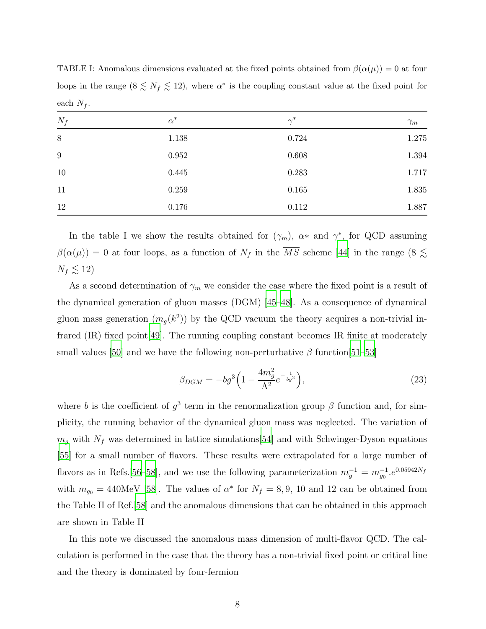TABLE I: Anomalous dimensions evaluated at the fixed points obtained from  $\beta(\alpha(\mu)) = 0$  at four loops in the range  $(8 \le N_f \le 12)$ , where  $\alpha^*$  is the coupling constant value at the fixed point for each  $N_f$ .

| $N_f$            | $\alpha^*$ | $\gamma^*$ | $\gamma_m$ |
|------------------|------------|------------|------------|
| $8\,$            | $1.138\,$  | 0.724      | 1.275      |
| $\boldsymbol{9}$ | 0.952      | 0.608      | 1.394      |
| 10               | 0.445      | 0.283      | 1.717      |
| 11               | 0.259      | 0.165      | 1.835      |
| 12               | 0.176      | 0.112      | 1.887      |

In the table I we show the results obtained for  $(\gamma_m)$ ,  $\alpha^*$  and  $\gamma^*$ , for QCD assuming  $\beta(\alpha(\mu)) = 0$  at four loops, as a function of  $N_f$  in the  $\overline{MS}$  scheme [\[44](#page-10-15)] in the range (8  $\lesssim$  $N_f \lesssim 12$ 

As a second determination of  $\gamma_m$  we consider the case where the fixed point is a result of the dynamical generation of gluon masses (DGM) [\[45](#page-10-16)[–48\]](#page-10-17). As a consequence of dynamical gluon mass generation  $(m<sub>g</sub>(k<sup>2</sup>))$  by the QCD vacuum the theory acquires a non-trivial infrared (IR) fixed point[\[49](#page-10-18)]. The running coupling constant becomes IR finite at moderately small values [\[50\]](#page-10-19) and we have the following non-perturbative  $\beta$  function [\[51](#page-11-0)[–53\]](#page-11-1)

$$
\beta_{DGM} = -bg^3 \left( 1 - \frac{4m_g^2}{\Lambda^2} e^{-\frac{1}{bg^2}} \right),\tag{23}
$$

where b is the coefficient of  $g^3$  term in the renormalization group  $\beta$  function and, for simplicity, the running behavior of the dynamical gluon mass was neglected. The variation of  $m_g$  with  $N_f$  was determined in lattice simulations[\[54](#page-11-2)] and with Schwinger-Dyson equations [\[55](#page-11-3)] for a small number of flavors. These results were extrapolated for a large number of flavors as in Refs.[\[56](#page-11-4)[–58\]](#page-11-5), and we use the following parameterization  $m_g^{-1} = m_{g_0}^{-1}e^{0.05942N_f}$ with  $m_{g0} = 440 \text{MeV}$  [\[58](#page-11-5)]. The values of  $\alpha^*$  for  $N_f = 8, 9, 10$  and 12 can be obtained from the Table II of Ref.[\[58](#page-11-5)] and the anomalous dimensions that can be obtained in this approach are shown in Table II

In this note we discussed the anomalous mass dimension of multi-flavor QCD. The calculation is performed in the case that the theory has a non-trivial fixed point or critical line and the theory is dominated by four-fermion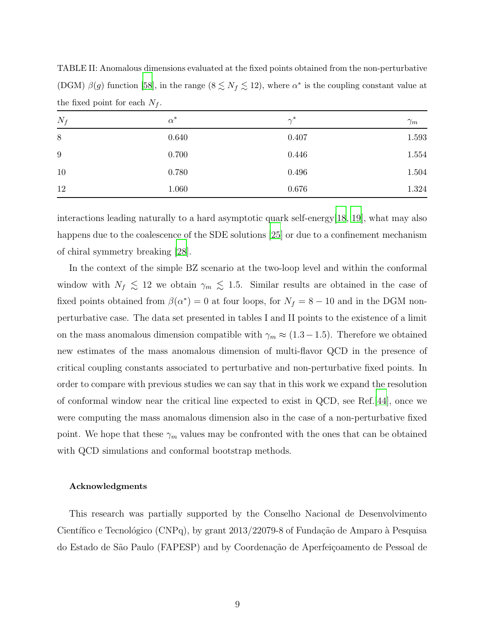| $N_f$            | $\alpha^*$ | $\gamma^*$ | $\gamma_m$ |
|------------------|------------|------------|------------|
| $8\,$            | 0.640      | 0.407      | 1.593      |
| $\boldsymbol{9}$ | 0.700      | 0.446      | 1.554      |
| 10               | 0.780      | 0.496      | 1.504      |
| 12               | 1.060      | 0.676      | 1.324      |

TABLE II: Anomalous dimensions evaluated at the fixed points obtained from the non-perturbative (DGM)  $\beta(g)$  function [\[58\]](#page-11-5), in the range  $(8 \leq N_f \leq 12)$ , where  $\alpha^*$  is the coupling constant value at the fixed point for each  $N_f$ .

interactions leading naturally to a hard asymptotic quark self-energy[\[18](#page-9-13), [19\]](#page-9-14), what may also happens due to the coalescence of the SDE solutions [\[25\]](#page-10-1) or due to a confinement mechanism of chiral symmetry breaking [\[28\]](#page-10-4).

In the context of the simple BZ scenario at the two-loop level and within the conformal window with  $N_f \lesssim 12$  we obtain  $\gamma_m \lesssim 1.5$ . Similar results are obtained in the case of fixed points obtained from  $\beta(\alpha^*)=0$  at four loops, for  $N_f = 8-10$  and in the DGM nonperturbative case. The data set presented in tables I and II points to the existence of a limit on the mass anomalous dimension compatible with  $\gamma_m \approx (1.3-1.5)$ . Therefore we obtained new estimates of the mass anomalous dimension of multi-flavor QCD in the presence of critical coupling constants associated to perturbative and non-perturbative fixed points. In order to compare with previous studies we can say that in this work we expand the resolution of conformal window near the critical line expected to exist in QCD, see Ref.[\[44\]](#page-10-15), once we were computing the mass anomalous dimension also in the case of a non-perturbative fixed point. We hope that these  $\gamma_m$  values may be confronted with the ones that can be obtained with QCD simulations and conformal bootstrap methods.

## Acknowledgments

This research was partially supported by the Conselho Nacional de Desenvolvimento Científico e Tecnológico (CNPq), by grant  $2013/22079-8$  of Fundação de Amparo à Pesquisa do Estado de S˜ao Paulo (FAPESP) and by Coordena¸c˜ao de Aperfei¸coamento de Pessoal de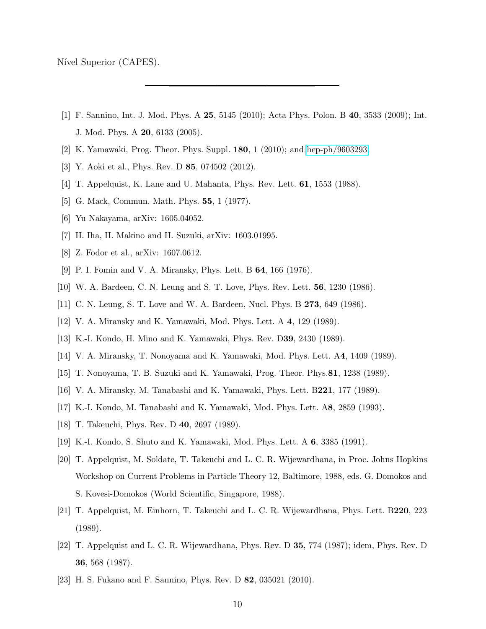Nível Superior (CAPES).

- <span id="page-9-0"></span>[1] F. Sannino, Int. J. Mod. Phys. A 25, 5145 (2010); Acta Phys. Polon. B 40, 3533 (2009); Int. J. Mod. Phys. A 20, 6133 (2005).
- <span id="page-9-2"></span><span id="page-9-1"></span>[2] K. Yamawaki, Prog. Theor. Phys. Suppl. 180, 1 (2010); and [hep-ph/9603293.](http://arxiv.org/abs/hep-ph/9603293)
- <span id="page-9-3"></span>[3] Y. Aoki et al., Phys. Rev. D 85, 074502 (2012).
- <span id="page-9-4"></span>[4] T. Appelquist, K. Lane and U. Mahanta, Phys. Rev. Lett. 61, 1553 (1988).
- [5] G. Mack, Commun. Math. Phys. **55**, 1 (1977).
- <span id="page-9-6"></span><span id="page-9-5"></span>[6] Yu Nakayama, arXiv: 1605.04052.
- <span id="page-9-7"></span>[7] H. Iha, H. Makino and H. Suzuki, arXiv: 1603.01995.
- [8] Z. Fodor et al., arXiv: 1607.0612.
- <span id="page-9-8"></span>[9] P. I. Fomin and V. A. Miransky, Phys. Lett. B 64, 166 (1976).
- <span id="page-9-10"></span><span id="page-9-9"></span>[10] W. A. Bardeen, C. N. Leung and S. T. Love, Phys. Rev. Lett. 56, 1230 (1986).
- [11] C. N. Leung, S. T. Love and W. A. Bardeen, Nucl. Phys. B 273, 649 (1986).
- <span id="page-9-11"></span>[12] V. A. Miransky and K. Yamawaki, Mod. Phys. Lett. A 4, 129 (1989).
- [13] K.-I. Kondo, H. Mino and K. Yamawaki, Phys. Rev. D39, 2430 (1989).
- [14] V. A. Miransky, T. Nonoyama and K. Yamawaki, Mod. Phys. Lett. A4, 1409 (1989).
- [15] T. Nonoyama, T. B. Suzuki and K. Yamawaki, Prog. Theor. Phys.81, 1238 (1989).
- [16] V. A. Miransky, M. Tanabashi and K. Yamawaki, Phys. Lett. B221, 177 (1989).
- <span id="page-9-12"></span>[17] K.-I. Kondo, M. Tanabashi and K. Yamawaki, Mod. Phys. Lett. A8, 2859 (1993).
- <span id="page-9-13"></span>[18] T. Takeuchi, Phys. Rev. D 40, 2697 (1989).
- <span id="page-9-14"></span>[19] K.-I. Kondo, S. Shuto and K. Yamawaki, Mod. Phys. Lett. A 6, 3385 (1991).
- <span id="page-9-15"></span>[20] T. Appelquist, M. Soldate, T. Takeuchi and L. C. R. Wijewardhana, in Proc. Johns Hopkins Workshop on Current Problems in Particle Theory 12, Baltimore, 1988, eds. G. Domokos and S. Kovesi-Domokos (World Scientific, Singapore, 1988).
- [21] T. Appelquist, M. Einhorn, T. Takeuchi and L. C. R. Wijewardhana, Phys. Lett. B220, 223 (1989).
- <span id="page-9-16"></span>[22] T. Appelquist and L. C. R. Wijewardhana, Phys. Rev. D 35, 774 (1987); idem, Phys. Rev. D 36, 568 (1987).
- <span id="page-9-17"></span>[23] H. S. Fukano and F. Sannino, Phys. Rev. D 82, 035021 (2010).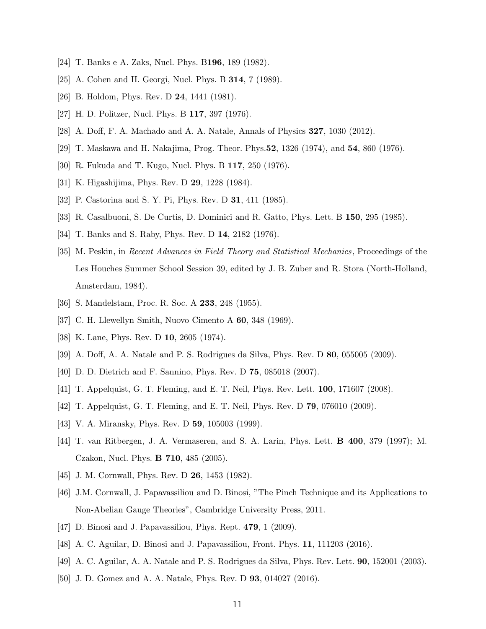- <span id="page-10-1"></span><span id="page-10-0"></span>[24] T. Banks e A. Zaks, Nucl. Phys. B196, 189 (1982).
- <span id="page-10-2"></span>[25] A. Cohen and H. Georgi, Nucl. Phys. B **314**, 7 (1989).
- <span id="page-10-3"></span>[26] B. Holdom, Phys. Rev. D **24**, 1441 (1981).
- <span id="page-10-4"></span>[27] H. D. Politzer, Nucl. Phys. B 117, 397 (1976).
- <span id="page-10-5"></span>[28] A. Doff, F. A. Machado and A. A. Natale, Annals of Physics 327, 1030 (2012).
- [29] T. Maskawa and H. Nakajima, Prog. Theor. Phys.52, 1326 (1974), and 54, 860 (1976).
- [30] R. Fukuda and T. Kugo, Nucl. Phys. B 117, 250 (1976).
- [31] K. Higashijima, Phys. Rev. D 29, 1228 (1984).
- [32] P. Castorina and S. Y. Pi, Phys. Rev. D **31**, 411 (1985).
- [33] R. Casalbuoni, S. De Curtis, D. Dominici and R. Gatto, Phys. Lett. B 150, 295 (1985).
- <span id="page-10-6"></span>[34] T. Banks and S. Raby, Phys. Rev. D 14, 2182 (1976).
- [35] M. Peskin, in Recent Advances in Field Theory and Statistical Mechanics, Proceedings of the Les Houches Summer School Session 39, edited by J. B. Zuber and R. Stora (North-Holland, Amsterdam, 1984).
- <span id="page-10-8"></span><span id="page-10-7"></span>[36] S. Mandelstam, Proc. R. Soc. A 233, 248 (1955).
- <span id="page-10-9"></span>[37] C. H. Llewellyn Smith, Nuovo Cimento A 60, 348 (1969).
- [38] K. Lane, Phys. Rev. D **10**, 2605 (1974).
- <span id="page-10-10"></span>[39] A. Doff, A. A. Natale and P. S. Rodrigues da Silva, Phys. Rev. D 80, 055005 (2009).
- <span id="page-10-11"></span>[40] D. D. Dietrich and F. Sannino, Phys. Rev. D 75, 085018 (2007).
- <span id="page-10-13"></span><span id="page-10-12"></span>[41] T. Appelquist, G. T. Fleming, and E. T. Neil, Phys. Rev. Lett. 100, 171607 (2008).
- [42] T. Appelquist, G. T. Fleming, and E. T. Neil, Phys. Rev. D 79, 076010 (2009).
- <span id="page-10-14"></span>[43] V. A. Miransky, Phys. Rev. D **59**, 105003 (1999).
- <span id="page-10-15"></span>[44] T. van Ritbergen, J. A. Vermaseren, and S. A. Larin, Phys. Lett. B 400, 379 (1997); M. Czakon, Nucl. Phys. B 710, 485 (2005).
- <span id="page-10-16"></span>[45] J. M. Cornwall, Phys. Rev. D **26**, 1453 (1982).
- [46] J.M. Cornwall, J. Papavassiliou and D. Binosi, "The Pinch Technique and its Applications to Non-Abelian Gauge Theories", Cambridge University Press, 2011.
- [47] D. Binosi and J. Papavassiliou, Phys. Rept. **479**, 1 (2009).
- <span id="page-10-17"></span>[48] A. C. Aguilar, D. Binosi and J. Papavassiliou, Front. Phys. 11, 111203 (2016).
- <span id="page-10-18"></span>[49] A. C. Aguilar, A. A. Natale and P. S. Rodrigues da Silva, Phys. Rev. Lett. 90, 152001 (2003).
- <span id="page-10-19"></span>[50] J. D. Gomez and A. A. Natale, Phys. Rev. D 93, 014027 (2016).